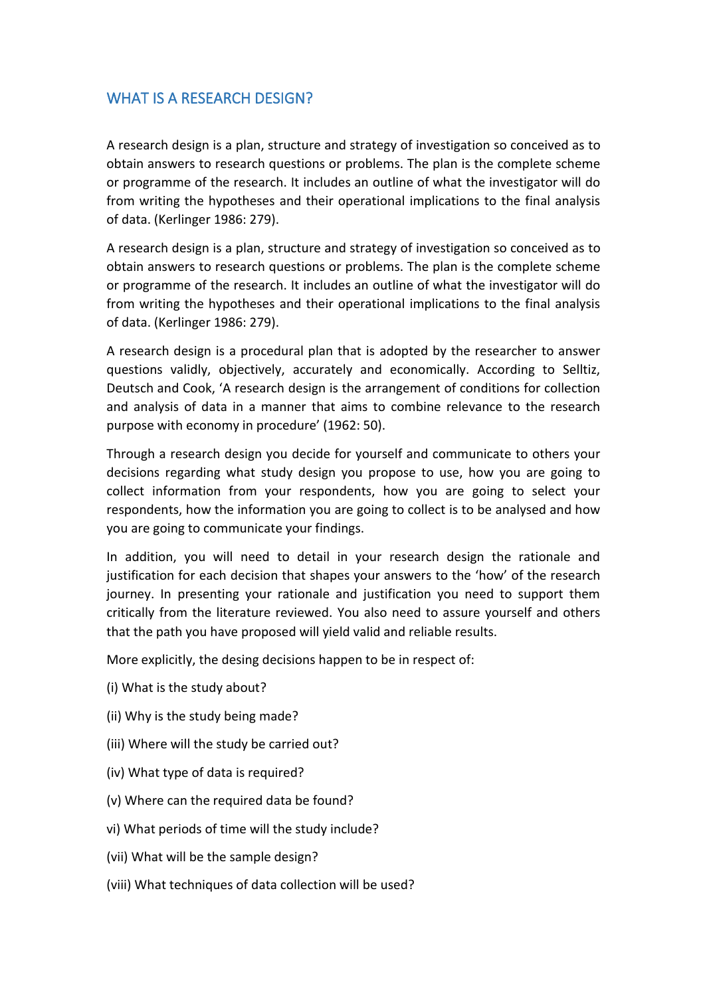## WHAT IS A RESEARCH DESIGN?

A research design is a plan, structure and strategy of investigation so conceived as to obtain answers to research questions or problems. The plan is the complete scheme or programme of the research. It includes an outline of what the investigator will do from writing the hypotheses and their operational implications to the final analysis of data. (Kerlinger 1986: 279).

A research design is a plan, structure and strategy of investigation so conceived as to obtain answers to research questions or problems. The plan is the complete scheme or programme of the research. It includes an outline of what the investigator will do from writing the hypotheses and their operational implications to the final analysis of data. (Kerlinger 1986: 279).

A research design is a procedural plan that is adopted by the researcher to answer questions validly, objectively, accurately and economically. According to Selltiz, Deutsch and Cook, 'A research design is the arrangement of conditions for collection and analysis of data in a manner that aims to combine relevance to the research purpose with economy in procedure' (1962: 50).

Through a research design you decide for yourself and communicate to others your decisions regarding what study design you propose to use, how you are going to collect information from your respondents, how you are going to select your respondents, how the information you are going to collect is to be analysed and how you are going to communicate your findings.

In addition, you will need to detail in your research design the rationale and justification for each decision that shapes your answers to the 'how' of the research journey. In presenting your rationale and justification you need to support them critically from the literature reviewed. You also need to assure yourselfand others that the path you have proposed will yield valid and reliable results.

More explicitly, the desing decisions happen to be in respect of:

- (i) What is the study about?
- (ii) Why is the study being made?
- (iii) Where will the study be carried out?
- (iv) What type of data is required?
- (v) Where can the required data be found?
- vi) What periods of time will the study include?
- (vii) What will be the sample design?
- (viii) What techniques of data collection will be used?